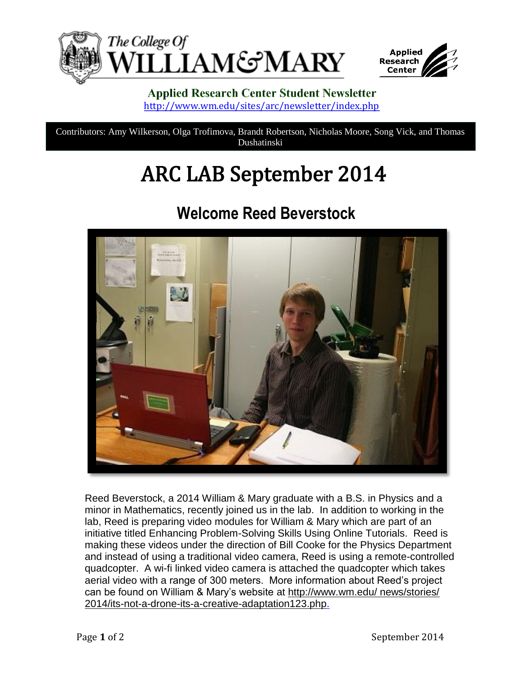



#### **Applied Research Center Student Newsletter** <http://www.wm.edu/sites/arc/newsletter/index.php>

Contributors: Amy Wilkerson, Olga Trofimova, Brandt Robertson, Nicholas Moore, Song Vick, and Thomas Dushatinski

# **ARC LAB September 2014**

### **Welcome Reed Beverstock**



Reed Beverstock, a 2014 William & Mary graduate with a B.S. in Physics and a minor in Mathematics, recently joined us in the lab. In addition to working in the lab, Reed is preparing video modules for William & Mary which are part of an initiative titled Enhancing Problem-Solving Skills Using Online Tutorials. Reed is making these videos under the direction of Bill Cooke for the Physics Department and instead of using a traditional video camera, Reed is using a remote-controlled quadcopter. A wi-fi linked video camera is attached the quadcopter which takes aerial video with a range of 300 meters. More information about Reed's project can be found on William & Mary's website at [http://www.wm.edu/ news/stories/](http://www.wm.edu/%20news/stories/%202014/its-not-a-drone-its-a-creative-adaptation123.php)  [2014/its-not-a-drone-its-a-creative-adaptation123.php.](http://www.wm.edu/%20news/stories/%202014/its-not-a-drone-its-a-creative-adaptation123.php)